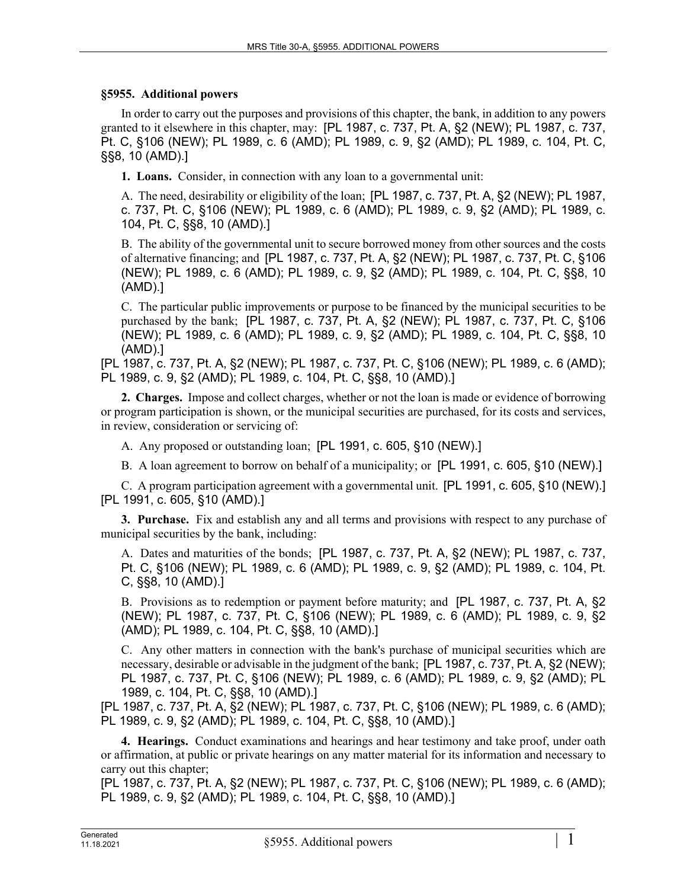## **§5955. Additional powers**

In order to carry out the purposes and provisions of this chapter, the bank, in addition to any powers granted to it elsewhere in this chapter, may: [PL 1987, c. 737, Pt. A, §2 (NEW); PL 1987, c. 737, Pt. C, §106 (NEW); PL 1989, c. 6 (AMD); PL 1989, c. 9, §2 (AMD); PL 1989, c. 104, Pt. C, §§8, 10 (AMD).]

**1. Loans.** Consider, in connection with any loan to a governmental unit:

A. The need, desirability or eligibility of the loan; [PL 1987, c. 737, Pt. A, §2 (NEW); PL 1987, c. 737, Pt. C, §106 (NEW); PL 1989, c. 6 (AMD); PL 1989, c. 9, §2 (AMD); PL 1989, c. 104, Pt. C, §§8, 10 (AMD).]

B. The ability of the governmental unit to secure borrowed money from other sources and the costs of alternative financing; and [PL 1987, c. 737, Pt. A, §2 (NEW); PL 1987, c. 737, Pt. C, §106 (NEW); PL 1989, c. 6 (AMD); PL 1989, c. 9, §2 (AMD); PL 1989, c. 104, Pt. C, §§8, 10 (AMD).]

C. The particular public improvements or purpose to be financed by the municipal securities to be purchased by the bank; [PL 1987, c. 737, Pt. A, §2 (NEW); PL 1987, c. 737, Pt. C, §106 (NEW); PL 1989, c. 6 (AMD); PL 1989, c. 9, §2 (AMD); PL 1989, c. 104, Pt. C, §§8, 10 (AMD).]

[PL 1987, c. 737, Pt. A, §2 (NEW); PL 1987, c. 737, Pt. C, §106 (NEW); PL 1989, c. 6 (AMD); PL 1989, c. 9, §2 (AMD); PL 1989, c. 104, Pt. C, §§8, 10 (AMD).]

**2. Charges.** Impose and collect charges, whether or not the loan is made or evidence of borrowing or program participation is shown, or the municipal securities are purchased, for its costs and services, in review, consideration or servicing of:

A. Any proposed or outstanding loan; [PL 1991, c. 605, §10 (NEW).]

B. A loan agreement to borrow on behalf of a municipality; or [PL 1991, c. 605, §10 (NEW).]

C. A program participation agreement with a governmental unit. [PL 1991, c. 605, §10 (NEW).] [PL 1991, c. 605, §10 (AMD).]

**3. Purchase.** Fix and establish any and all terms and provisions with respect to any purchase of municipal securities by the bank, including:

A. Dates and maturities of the bonds; [PL 1987, c. 737, Pt. A, §2 (NEW); PL 1987, c. 737, Pt. C, §106 (NEW); PL 1989, c. 6 (AMD); PL 1989, c. 9, §2 (AMD); PL 1989, c. 104, Pt. C, §§8, 10 (AMD).]

B. Provisions as to redemption or payment before maturity; and [PL 1987, c. 737, Pt. A, §2 (NEW); PL 1987, c. 737, Pt. C, §106 (NEW); PL 1989, c. 6 (AMD); PL 1989, c. 9, §2 (AMD); PL 1989, c. 104, Pt. C, §§8, 10 (AMD).]

C. Any other matters in connection with the bank's purchase of municipal securities which are necessary, desirable or advisable in the judgment of the bank; [PL 1987, c. 737, Pt. A, §2 (NEW); PL 1987, c. 737, Pt. C, §106 (NEW); PL 1989, c. 6 (AMD); PL 1989, c. 9, §2 (AMD); PL 1989, c. 104, Pt. C, §§8, 10 (AMD).]

[PL 1987, c. 737, Pt. A, §2 (NEW); PL 1987, c. 737, Pt. C, §106 (NEW); PL 1989, c. 6 (AMD); PL 1989, c. 9, §2 (AMD); PL 1989, c. 104, Pt. C, §§8, 10 (AMD).]

**4. Hearings.** Conduct examinations and hearings and hear testimony and take proof, under oath or affirmation, at public or private hearings on any matter material for its information and necessary to carry out this chapter;

[PL 1987, c. 737, Pt. A, §2 (NEW); PL 1987, c. 737, Pt. C, §106 (NEW); PL 1989, c. 6 (AMD); PL 1989, c. 9, §2 (AMD); PL 1989, c. 104, Pt. C, §§8, 10 (AMD).]